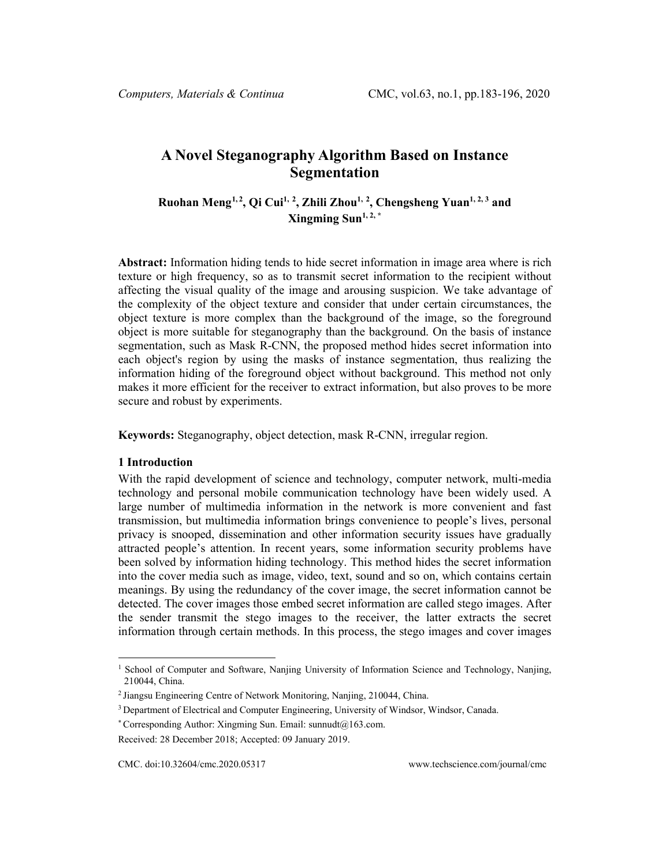# **A Novel Steganography Algorithm Based on Instance Segmentation**

**Ruohan Meng[1,](#page-0-0) [2](#page-0-1) , Qi Cui1, <sup>2</sup> , Zhili Zhou1, <sup>2</sup> , Chengsheng Yuan1, 2, <sup>3</sup> and Xingming Sun1, 2, \***

**Abstract:** Information hiding tends to hide secret information in image area where is rich texture or high frequency, so as to transmit secret information to the recipient without affecting the visual quality of the image and arousing suspicion. We take advantage of the complexity of the object texture and consider that under certain circumstances, the object texture is more complex than the background of the image, so the foreground object is more suitable for steganography than the background. On the basis of instance segmentation, such as Mask R-CNN, the proposed method hides secret information into each object's region by using the masks of instance segmentation, thus realizing the information hiding of the foreground object without background. This method not only makes it more efficient for the receiver to extract information, but also proves to be more secure and robust by experiments.

**Keywords:** Steganography, object detection, mask R-CNN, irregular region.

#### **1 Introduction**

With the rapid development of science and technology, computer network, multi-media technology and personal mobile communication technology have been widely used. A large number of multimedia information in the network is more convenient and fast transmission, but multimedia information brings convenience to people's lives, personal privacy is snooped, dissemination and other information security issues have gradually attracted people's attention. In recent years, some information security problems have been solved by information hiding technology. This method hides the secret information into the cover media such as image, video, text, sound and so on, which contains certain meanings. By using the redundancy of the cover image, the secret information cannot be detected. The cover images those embed secret information are called stego images. After the sender transmit the stego images to the receiver, the latter extracts the secret information through certain methods. In this process, the stego images and cover images

<span id="page-0-0"></span><sup>&</sup>lt;sup>1</sup> School of Computer and Software, Nanjing University of Information Science and Technology, Nanjing, 210044, China.

<sup>2</sup> Jiangsu Engineering Centre of Network Monitoring, Nanjing, 210044, China.

<sup>&</sup>lt;sup>3</sup> Department of Electrical and Computer Engineering, University of Windsor, Windsor, Canada.

<sup>\*</sup> Corresponding Author: Xingming Sun. Email: sunnudt $@163$ .com.

<span id="page-0-1"></span>Received: 28 December 2018; Accepted: 09 January 2019.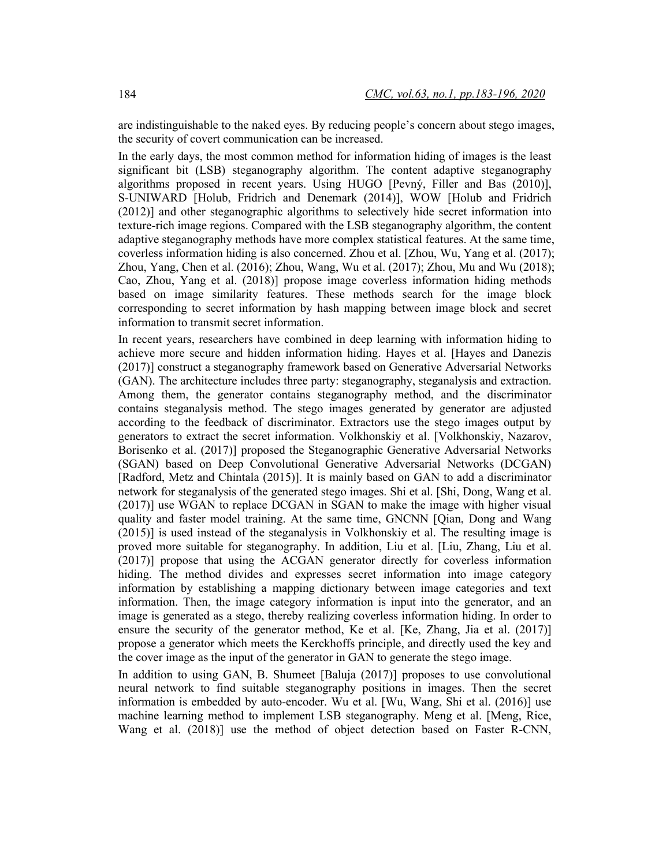are indistinguishable to the naked eyes. By reducing people's concern about stego images, the security of covert communication can be increased.

In the early days, the most common method for information hiding of images is the least significant bit (LSB) steganography algorithm. The content adaptive steganography algorithms proposed in recent years. Using HUGO [Pevný, Filler and Bas (2010)], S-UNIWARD [Holub, Fridrich and Denemark (2014)], WOW [Holub and Fridrich (2012)] and other steganographic algorithms to selectively hide secret information into texture-rich image regions. Compared with the LSB steganography algorithm, the content adaptive steganography methods have more complex statistical features. At the same time, coverless information hiding is also concerned. Zhou et al. [Zhou, Wu, Yang et al. (2017); Zhou, Yang, Chen et al. (2016); Zhou, Wang, Wu et al. (2017); Zhou, Mu and Wu (2018); Cao, Zhou, Yang et al. (2018)] propose image coverless information hiding methods based on image similarity features. These methods search for the image block corresponding to secret information by hash mapping between image block and secret information to transmit secret information.

In recent years, researchers have combined in deep learning with information hiding to achieve more secure and hidden information hiding. Hayes et al. [Hayes and Danezis (2017)] construct a steganography framework based on Generative Adversarial Networks (GAN). The architecture includes three party: steganography, steganalysis and extraction. Among them, the generator contains steganography method, and the discriminator contains steganalysis method. The stego images generated by generator are adjusted according to the feedback of discriminator. Extractors use the stego images output by generators to extract the secret information. Volkhonskiy et al. [Volkhonskiy, Nazarov, Borisenko et al. (2017)] proposed the Steganographic Generative Adversarial Networks (SGAN) based on Deep Convolutional Generative Adversarial Networks (DCGAN) [Radford, Metz and Chintala (2015)]. It is mainly based on GAN to add a discriminator network for steganalysis of the generated stego images. Shi et al. [Shi, Dong, Wang et al. (2017)] use WGAN to replace DCGAN in SGAN to make the image with higher visual quality and faster model training. At the same time, GNCNN [Qian, Dong and Wang (2015)] is used instead of the steganalysis in Volkhonskiy et al. The resulting image is proved more suitable for steganography. In addition, Liu et al. [Liu, Zhang, Liu et al. (2017)] propose that using the ACGAN generator directly for coverless information hiding. The method divides and expresses secret information into image category information by establishing a mapping dictionary between image categories and text information. Then, the image category information is input into the generator, and an image is generated as a stego, thereby realizing coverless information hiding. In order to ensure the security of the generator method, Ke et al. [Ke, Zhang, Jia et al. (2017)] propose a generator which meets the Kerckhoffs principle, and directly used the key and the cover image as the input of the generator in GAN to generate the stego image.

In addition to using GAN, B. Shumeet [Baluja (2017)] proposes to use convolutional neural network to find suitable steganography positions in images. Then the secret information is embedded by auto-encoder. Wu et al. [Wu, Wang, Shi et al. (2016)] use machine learning method to implement LSB steganography. Meng et al. [Meng, Rice, Wang et al. (2018)] use the method of object detection based on Faster R-CNN,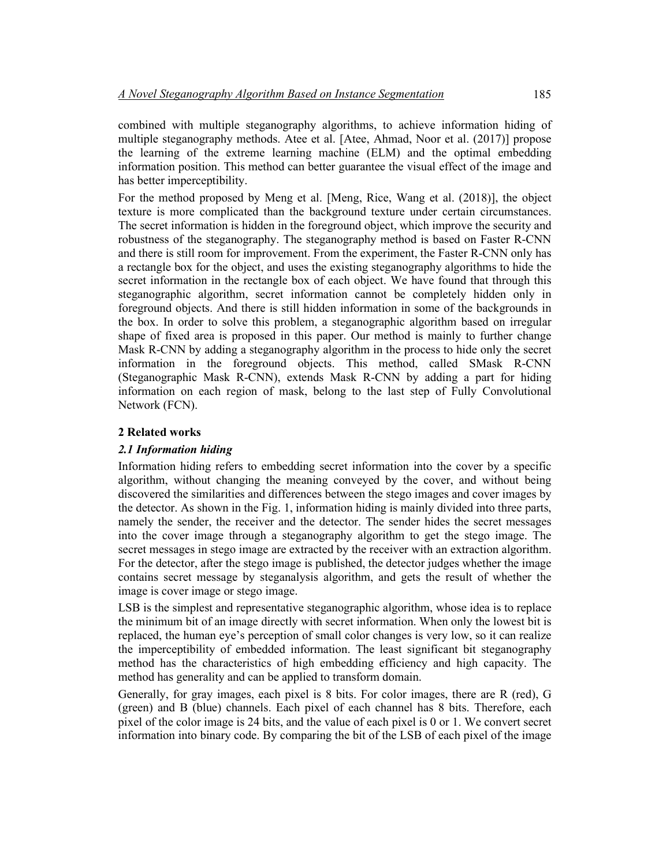combined with multiple steganography algorithms, to achieve information hiding of multiple steganography methods. Atee et al. [Atee, Ahmad, Noor et al. (2017)] propose the learning of the extreme learning machine (ELM) and the optimal embedding information position. This method can better guarantee the visual effect of the image and has better imperceptibility.

For the method proposed by Meng et al. [Meng, Rice, Wang et al. (2018)], the object texture is more complicated than the background texture under certain circumstances. The secret information is hidden in the foreground object, which improve the security and robustness of the steganography. The steganography method is based on Faster R-CNN and there is still room for improvement. From the experiment, the Faster R-CNN only has a rectangle box for the object, and uses the existing steganography algorithms to hide the secret information in the rectangle box of each object. We have found that through this steganographic algorithm, secret information cannot be completely hidden only in foreground objects. And there is still hidden information in some of the backgrounds in the box. In order to solve this problem, a steganographic algorithm based on irregular shape of fixed area is proposed in this paper. Our method is mainly to further change Mask R-CNN by adding a steganography algorithm in the process to hide only the secret information in the foreground objects. This method, called SMask R-CNN (Steganographic Mask R-CNN), extends Mask R-CNN by adding a part for hiding information on each region of mask, belong to the last step of Fully Convolutional Network (FCN).

# **2 Related works**

# *2.1 Information hiding*

Information hiding refers to embedding secret information into the cover by a specific algorithm, without changing the meaning conveyed by the cover, and without being discovered the similarities and differences between the stego images and cover images by the detector. As shown in the Fig. 1, information hiding is mainly divided into three parts, namely the sender, the receiver and the detector. The sender hides the secret messages into the cover image through a steganography algorithm to get the stego image. The secret messages in stego image are extracted by the receiver with an extraction algorithm. For the detector, after the stego image is published, the detector judges whether the image contains secret message by steganalysis algorithm, and gets the result of whether the image is cover image or stego image.

LSB is the simplest and representative steganographic algorithm, whose idea is to replace the minimum bit of an image directly with secret information. When only the lowest bit is replaced, the human eye's perception of small color changes is very low, so it can realize the imperceptibility of embedded information. The least significant bit steganography method has the characteristics of high embedding efficiency and high capacity. The method has generality and can be applied to transform domain.

Generally, for gray images, each pixel is 8 bits. For color images, there are R (red), G (green) and B (blue) channels. Each pixel of each channel has 8 bits. Therefore, each pixel of the color image is 24 bits, and the value of each pixel is 0 or 1. We convert secret information into binary code. By comparing the bit of the LSB of each pixel of the image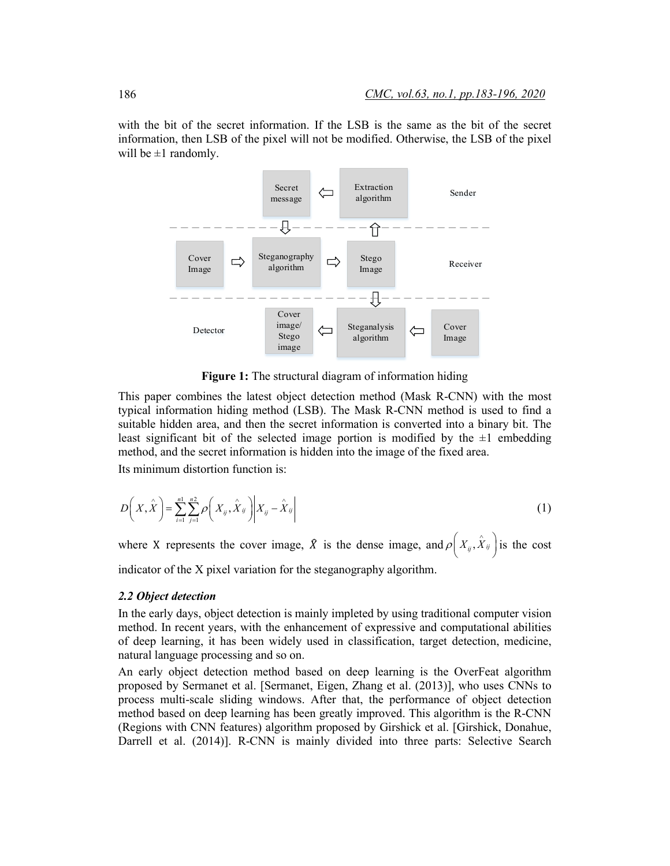with the bit of the secret information. If the LSB is the same as the bit of the secret information, then LSB of the pixel will not be modified. Otherwise, the LSB of the pixel will be  $\pm 1$  randomly.



**Figure 1:** The structural diagram of information hiding

This paper combines the latest object detection method (Mask R-CNN) with the most typical information hiding method (LSB). The Mask R-CNN method is used to find a suitable hidden area, and then the secret information is converted into a binary bit. The least significant bit of the selected image portion is modified by the  $\pm 1$  embedding method, and the secret information is hidden into the image of the fixed area.

Its minimum distortion function is:

$$
D\left(X,\hat{X}\right) = \sum_{i=1}^{n} \sum_{j=1}^{n} \rho\left(X_{ij},\hat{X}_{ij}\right) \middle| X_{ij} - \hat{X}_{ij} \middle| \tag{1}
$$

where X represents the cover image,  $\hat{X}$  is the dense image, and  $\rho\left(X_{ij}, \hat{X}_{ij}\right)$  is the cost indicator of the X pixel variation for the steganography algorithm.

#### *2.2 Object detection*

In the early days, object detection is mainly impleted by using traditional computer vision method. In recent years, with the enhancement of expressive and computational abilities of deep learning, it has been widely used in classification, target detection, medicine, natural language processing and so on.

An early object detection method based on deep learning is the OverFeat algorithm proposed by Sermanet et al. [Sermanet, Eigen, Zhang et al. (2013)], who uses CNNs to process multi-scale sliding windows. After that, the performance of object detection method based on deep learning has been greatly improved. This algorithm is the R-CNN (Regions with CNN features) algorithm proposed by Girshick et al. [Girshick, Donahue, Darrell et al. (2014)]. R-CNN is mainly divided into three parts: Selective Search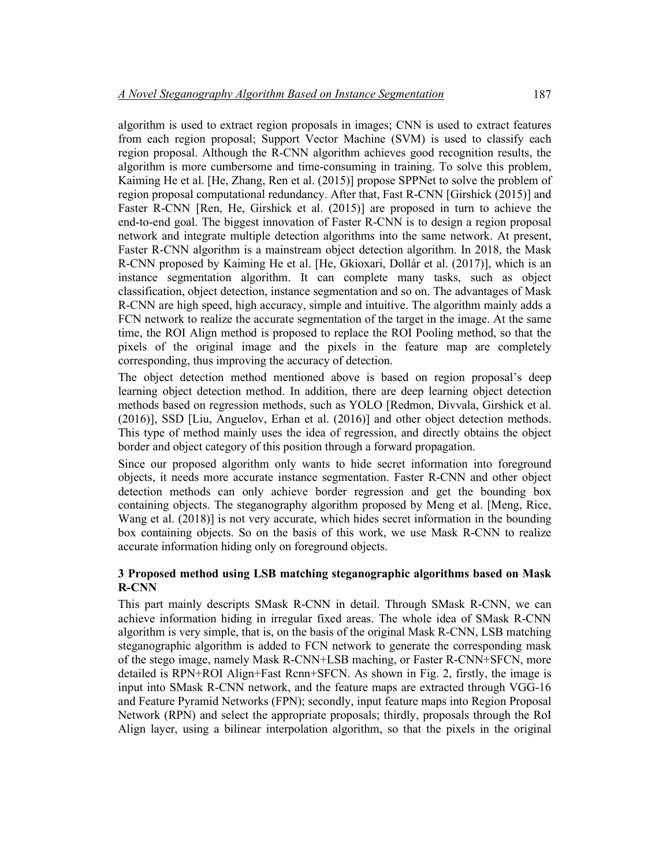algorithm is used to extract region proposals in images; CNN is used to extract features from each region proposal; Support Vector Machine (SVM) is used to classify each region proposal. Although the R-CNN algorithm achieves good recognition results, the algorithm is more cumbersome and time-consuming in training. To solve this problem, Kaiming He et al. [He, Zhang, Ren et al. (2015)] propose SPPNet to solve the problem of region proposal computational redundancy. After that, Fast R-CNN [Girshick (2015)] and Faster R-CNN [Ren, He, Girshick et al. (2015)] are proposed in turn to achieve the end-to-end goal. The biggest innovation of Faster R-CNN is to design a region proposal network and integrate multiple detection algorithms into the same network. At present, Faster R-CNN algorithm is a mainstream object detection algorithm. In 2018, the Mask R-CNN proposed by Kaiming He et al. [He, Gkioxari, Dollár et al. (2017)], which is an instance segmentation algorithm. It can complete many tasks, such as object classification, object detection, instance segmentation and so on. The advantages of Mask R-CNN are high speed, high accuracy, simple and intuitive. The algorithm mainly adds a FCN network to realize the accurate segmentation of the target in the image. At the same time, the ROI Align method is proposed to replace the ROI Pooling method, so that the pixels of the original image and the pixels in the feature map are completely corresponding, thus improving the accuracy of detection.

The object detection method mentioned above is based on region proposal's deep learning object detection method. In addition, there are deep learning object detection methods based on regression methods, such as YOLO [Redmon, Divvala, Girshick et al. (2016)], SSD [Liu, Anguelov, Erhan et al. (2016)] and other object detection methods. This type of method mainly uses the idea of regression, and directly obtains the object border and object category of this position through a forward propagation.

Since our proposed algorithm only wants to hide secret information into foreground objects, it needs more accurate instance segmentation. Faster R-CNN and other object detection methods can only achieve border regression and get the bounding box containing objects. The steganography algorithm proposed by Meng et al. [Meng, Rice, Wang et al. (2018)] is not very accurate, which hides secret information in the bounding box containing objects. So on the basis of this work, we use Mask R-CNN to realize accurate information hiding only on foreground objects.

## **3 Proposed method using LSB matching steganographic algorithms based on Mask R-CNN**

This part mainly descripts SMask R-CNN in detail. Through SMask R-CNN, we can achieve information hiding in irregular fixed areas. The whole idea of SMask R-CNN algorithm is very simple, that is, on the basis of the original Mask R-CNN, LSB matching steganographic algorithm is added to FCN network to generate the corresponding mask of the stego image, namely Mask R-CNN+LSB maching, or Faster R-CNN+SFCN, more detailed is RPN+ROI Align+Fast Rcnn+SFCN. As shown in Fig. 2, firstly, the image is input into SMask R-CNN network, and the feature maps are extracted through VGG-16 and Feature Pyramid Networks (FPN); secondly, input feature maps into Region Proposal Network (RPN) and select the appropriate proposals; thirdly, proposals through the RoI Align layer, using a bilinear interpolation algorithm, so that the pixels in the original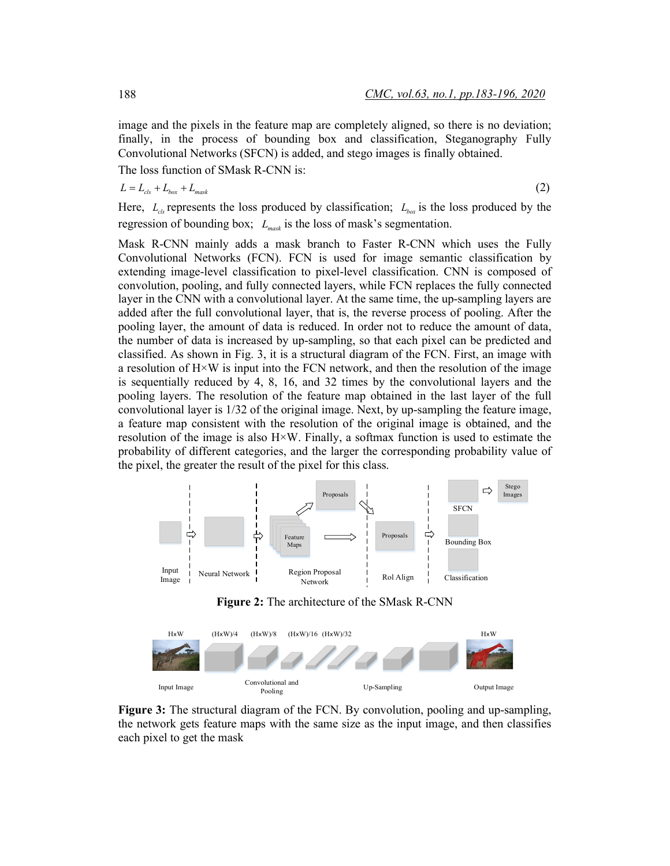image and the pixels in the feature map are completely aligned, so there is no deviation; finally, in the process of bounding box and classification, Steganography Fully Convolutional Networks (SFCN) is added, and stego images is finally obtained.

The loss function of SMask R-CNN is:

$$
L = L_{cls} + L_{box} + L_{mask} \tag{2}
$$

Here,  $L_{\text{obs}}$  represents the loss produced by classification;  $L_{\text{box}}$  is the loss produced by the regression of bounding box;  $L_{mask}$  is the loss of mask's segmentation.

Mask R-CNN mainly adds a mask branch to Faster R-CNN which uses the Fully Convolutional Networks (FCN). FCN is used for image semantic classification by extending image-level classification to pixel-level classification. CNN is composed of convolution, pooling, and fully connected layers, while FCN replaces the fully connected layer in the CNN with a convolutional layer. At the same time, the up-sampling layers are added after the full convolutional layer, that is, the reverse process of pooling. After the pooling layer, the amount of data is reduced. In order not to reduce the amount of data, the number of data is increased by up-sampling, so that each pixel can be predicted and classified. As shown in Fig. 3, it is a structural diagram of the FCN. First, an image with a resolution of  $H \times W$  is input into the FCN network, and then the resolution of the image is sequentially reduced by 4, 8, 16, and 32 times by the convolutional layers and the pooling layers. The resolution of the feature map obtained in the last layer of the full convolutional layer is 1/32 of the original image. Next, by up-sampling the feature image, a feature map consistent with the resolution of the original image is obtained, and the resolution of the image is also  $H \times W$ . Finally, a softmax function is used to estimate the probability of different categories, and the larger the corresponding probability value of the pixel, the greater the result of the pixel for this class.



**Figure 2:** The architecture of the SMask R-CNN



**Figure 3:** The structural diagram of the FCN. By convolution, pooling and up-sampling, the network gets feature maps with the same size as the input image, and then classifies each pixel to get the mask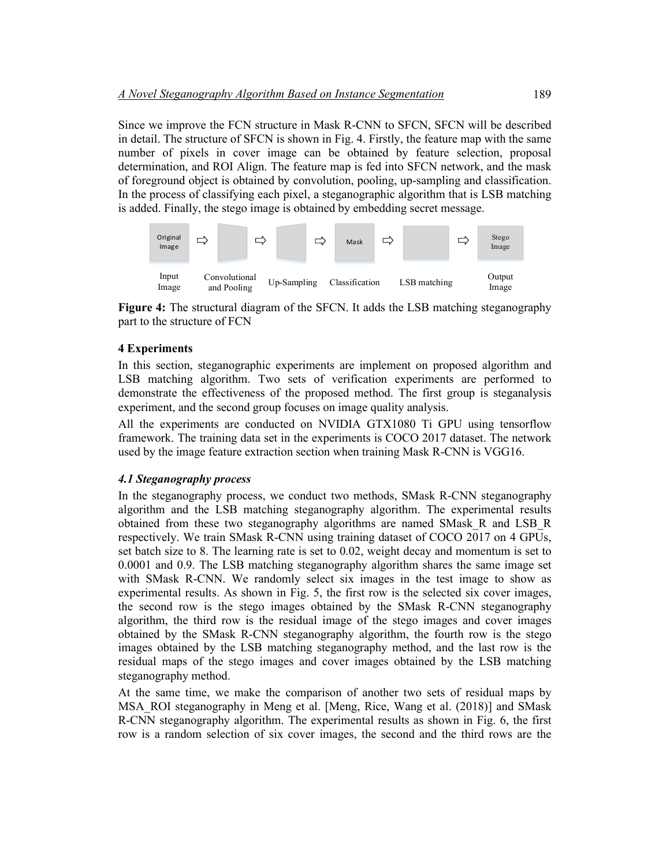Since we improve the FCN structure in Mask R-CNN to SFCN, SFCN will be described in detail. The structure of SFCN is shown in Fig. 4. Firstly, the feature map with the same number of pixels in cover image can be obtained by feature selection, proposal determination, and ROI Align. The feature map is fed into SFCN network, and the mask of foreground object is obtained by convolution, pooling, up-sampling and classification. In the process of classifying each pixel, a steganographic algorithm that is LSB matching is added. Finally, the stego image is obtained by embedding secret message.



**Figure 4:** The structural diagram of the SFCN. It adds the LSB matching steganography part to the structure of FCN

## **4 Experiments**

In this section, steganographic experiments are implement on proposed algorithm and LSB matching algorithm. Two sets of verification experiments are performed to demonstrate the effectiveness of the proposed method. The first group is steganalysis experiment, and the second group focuses on image quality analysis.

All the experiments are conducted on NVIDIA GTX1080 Ti GPU using tensorflow framework. The training data set in the experiments is COCO 2017 dataset. The network used by the image feature extraction section when training Mask R-CNN is VGG16.

#### *4.1 Steganography process*

In the steganography process, we conduct two methods, SMask R-CNN steganography algorithm and the LSB matching steganography algorithm. The experimental results obtained from these two steganography algorithms are named SMask\_R and LSB\_R respectively. We train SMask R-CNN using training dataset of COCO 2017 on 4 GPUs, set batch size to 8. The learning rate is set to 0.02, weight decay and momentum is set to 0.0001 and 0.9. The LSB matching steganography algorithm shares the same image set with SMask R-CNN. We randomly select six images in the test image to show as experimental results. As shown in Fig. 5, the first row is the selected six cover images, the second row is the stego images obtained by the SMask R-CNN steganography algorithm, the third row is the residual image of the stego images and cover images obtained by the SMask R-CNN steganography algorithm, the fourth row is the stego images obtained by the LSB matching steganography method, and the last row is the residual maps of the stego images and cover images obtained by the LSB matching steganography method.

At the same time, we make the comparison of another two sets of residual maps by MSA\_ROI steganography in Meng et al. [Meng, Rice, Wang et al. (2018)] and SMask R-CNN steganography algorithm. The experimental results as shown in Fig. 6, the first row is a random selection of six cover images, the second and the third rows are the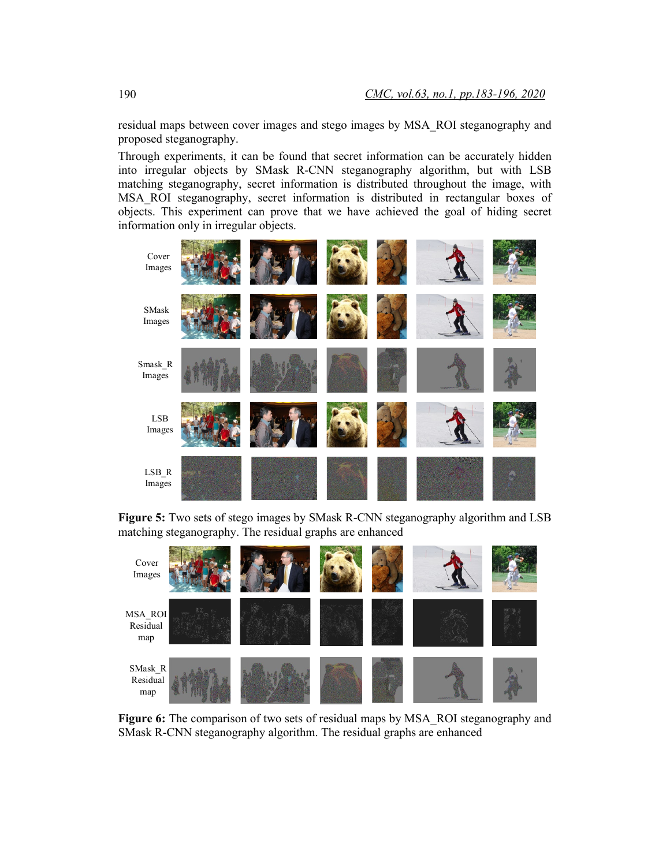residual maps between cover images and stego images by MSA\_ROI steganography and proposed steganography.

Through experiments, it can be found that secret information can be accurately hidden into irregular objects by SMask R-CNN steganography algorithm, but with LSB matching steganography, secret information is distributed throughout the image, with MSA\_ROI steganography, secret information is distributed in rectangular boxes of objects. This experiment can prove that we have achieved the goal of hiding secret information only in irregular objects.



**Figure 5:** Two sets of stego images by SMask R-CNN steganography algorithm and LSB matching steganography. The residual graphs are enhanced



**Figure 6:** The comparison of two sets of residual maps by MSA\_ROI steganography and SMask R-CNN steganography algorithm. The residual graphs are enhanced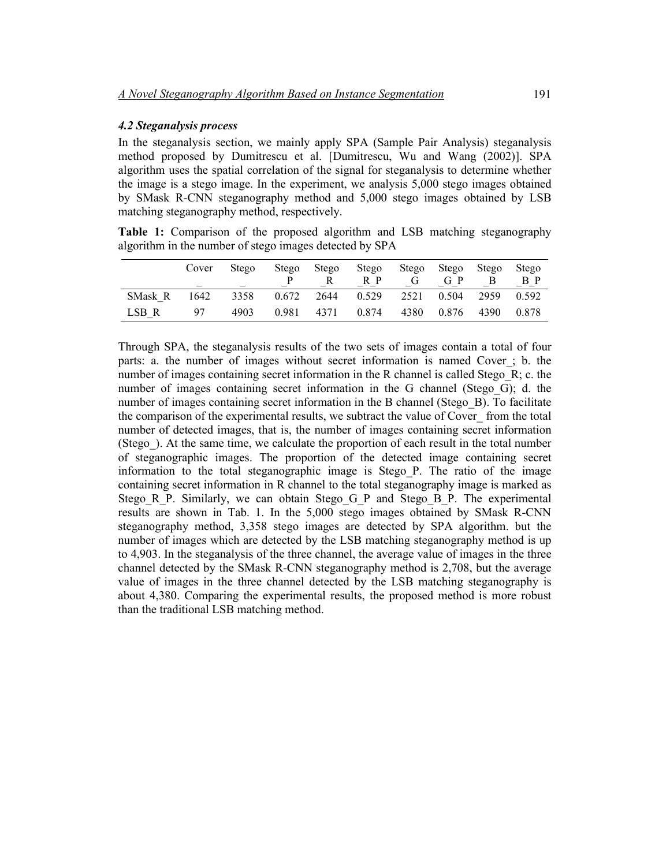## *4.2 Steganalysis process*

In the steganalysis section, we mainly apply SPA (Sample Pair Analysis) steganalysis method proposed by Dumitrescu et al. [Dumitrescu, Wu and Wang (2002)]. SPA algorithm uses the spatial correlation of the signal for steganalysis to determine whether the image is a stego image. In the experiment, we analysis 5,000 stego images obtained by SMask R-CNN steganography method and 5,000 stego images obtained by LSB matching steganography method, respectively.

**Table 1:** Comparison of the proposed algorithm and LSB matching steganography algorithm in the number of stego images detected by SPA

|         | Cover | Stego | Stego | Stego | Stego<br>R P | Stego<br>G | Stego<br>G P | Stego | Stego<br>B P |
|---------|-------|-------|-------|-------|--------------|------------|--------------|-------|--------------|
| SMask R | 1642  | 3358  | 0.672 | 2644  | 0.529        | 2521       | 0.504        | 2959  | 0.592        |
| LSB R   | 97    | 4903  | 0.981 | 4371  | 0.874        | 4380       | 0.876        | 4390  | 0.878        |

Through SPA, the steganalysis results of the two sets of images contain a total of four parts: a. the number of images without secret information is named Cover\_; b. the number of images containing secret information in the R channel is called Stego\_R; c. the number of images containing secret information in the G channel (Stego G); d. the number of images containing secret information in the B channel (Stego B). To facilitate the comparison of the experimental results, we subtract the value of Cover\_ from the total number of detected images, that is, the number of images containing secret information (Stego\_). At the same time, we calculate the proportion of each result in the total number of steganographic images. The proportion of the detected image containing secret information to the total steganographic image is Stego\_P. The ratio of the image containing secret information in R channel to the total steganography image is marked as Stego R<sub>P</sub>. Similarly, we can obtain Stego G<sub>P</sub> and Stego B<sub>P</sub>. The experimental results are shown in Tab. 1. In the 5,000 stego images obtained by SMask R-CNN steganography method, 3,358 stego images are detected by SPA algorithm. but the number of images which are detected by the LSB matching steganography method is up to 4,903. In the steganalysis of the three channel, the average value of images in the three channel detected by the SMask R-CNN steganography method is 2,708, but the average value of images in the three channel detected by the LSB matching steganography is about 4,380. Comparing the experimental results, the proposed method is more robust than the traditional LSB matching method.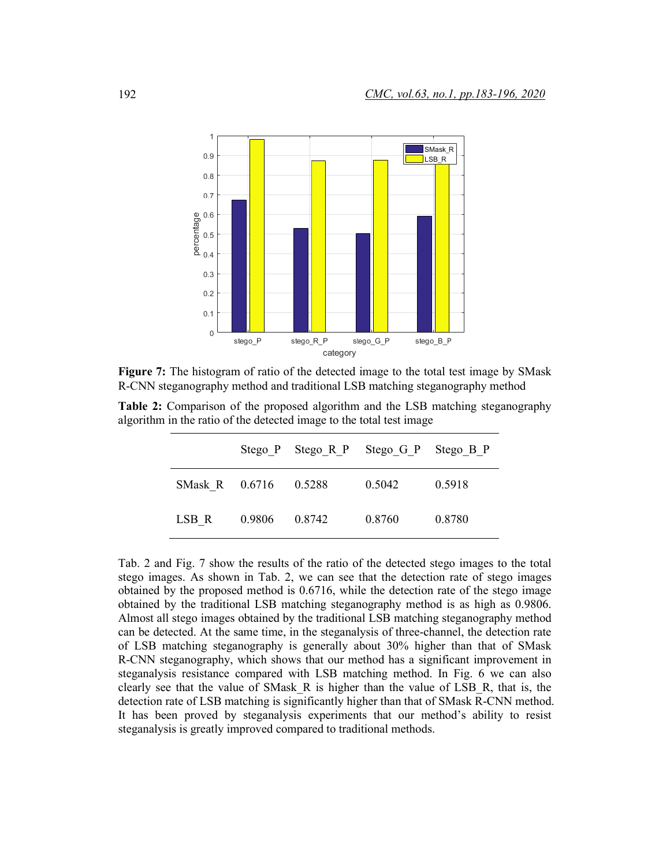

**Figure 7:** The histogram of ratio of the detected image to the total test image by SMask R-CNN steganography method and traditional LSB matching steganography method

**Table 2:** Comparison of the proposed algorithm and the LSB matching steganography algorithm in the ratio of the detected image to the total test image

|                       |        |        | Stego P Stego R P Stego G P Stego B P |        |
|-----------------------|--------|--------|---------------------------------------|--------|
| SMask R 0.6716 0.5288 |        |        | 0.5042                                | 0.5918 |
| LSB R                 | 0.9806 | 0.8742 | 0.8760                                | 0.8780 |

Tab. 2 and Fig. 7 show the results of the ratio of the detected stego images to the total stego images. As shown in Tab. 2, we can see that the detection rate of stego images obtained by the proposed method is 0.6716, while the detection rate of the stego image obtained by the traditional LSB matching steganography method is as high as 0.9806. Almost all stego images obtained by the traditional LSB matching steganography method can be detected. At the same time, in the steganalysis of three-channel, the detection rate of LSB matching steganography is generally about 30% higher than that of SMask R-CNN steganography, which shows that our method has a significant improvement in steganalysis resistance compared with LSB matching method. In Fig. 6 we can also clearly see that the value of SMask  $R$  is higher than the value of LSB  $R$ , that is, the detection rate of LSB matching is significantly higher than that of SMask R-CNN method. It has been proved by steganalysis experiments that our method's ability to resist steganalysis is greatly improved compared to traditional methods.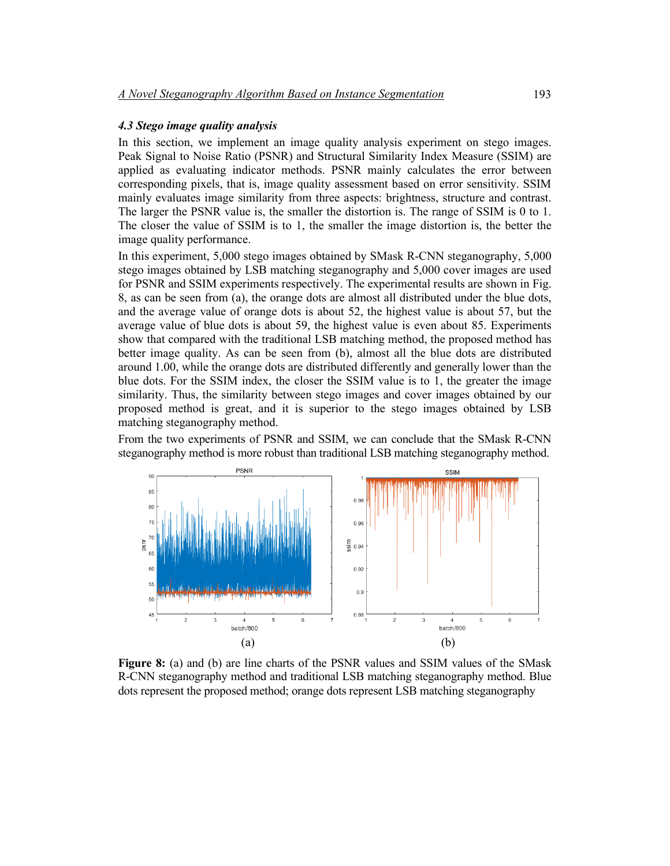#### *4.3 Stego image quality analysis*

In this section, we implement an image quality analysis experiment on stego images. Peak Signal to Noise Ratio (PSNR) and Structural Similarity Index Measure (SSIM) are applied as evaluating indicator methods. PSNR mainly calculates the error between corresponding pixels, that is, image quality assessment based on error sensitivity. SSIM mainly evaluates image similarity from three aspects: brightness, structure and contrast. The larger the PSNR value is, the smaller the distortion is. The range of SSIM is 0 to 1. The closer the value of SSIM is to 1, the smaller the image distortion is, the better the image quality performance.

In this experiment, 5,000 stego images obtained by SMask R-CNN steganography, 5,000 stego images obtained by LSB matching steganography and 5,000 cover images are used for PSNR and SSIM experiments respectively. The experimental results are shown in Fig. 8, as can be seen from (a), the orange dots are almost all distributed under the blue dots, and the average value of orange dots is about 52, the highest value is about 57, but the average value of blue dots is about 59, the highest value is even about 85. Experiments show that compared with the traditional LSB matching method, the proposed method has better image quality. As can be seen from (b), almost all the blue dots are distributed around 1.00, while the orange dots are distributed differently and generally lower than the blue dots. For the SSIM index, the closer the SSIM value is to 1, the greater the image similarity. Thus, the similarity between stego images and cover images obtained by our proposed method is great, and it is superior to the stego images obtained by LSB matching steganography method.

From the two experiments of PSNR and SSIM, we can conclude that the SMask R-CNN steganography method is more robust than traditional LSB matching steganography method.



**Figure 8:** (a) and (b) are line charts of the PSNR values and SSIM values of the SMask R-CNN steganography method and traditional LSB matching steganography method. Blue dots represent the proposed method; orange dots represent LSB matching steganography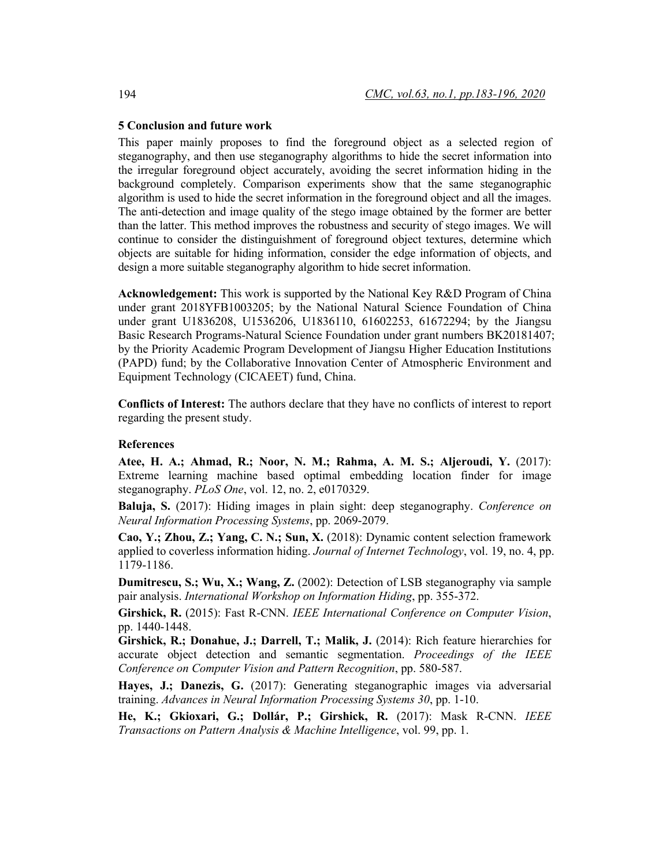## **5 Conclusion and future work**

This paper mainly proposes to find the foreground object as a selected region of steganography, and then use steganography algorithms to hide the secret information into the irregular foreground object accurately, avoiding the secret information hiding in the background completely. Comparison experiments show that the same steganographic algorithm is used to hide the secret information in the foreground object and all the images. The anti-detection and image quality of the stego image obtained by the former are better than the latter. This method improves the robustness and security of stego images. We will continue to consider the distinguishment of foreground object textures, determine which objects are suitable for hiding information, consider the edge information of objects, and design a more suitable steganography algorithm to hide secret information.

**Acknowledgement:** This work is supported by the National Key R&D Program of China under grant 2018YFB1003205; by the National Natural Science Foundation of China under grant U1836208, U1536206, U1836110, 61602253, 61672294; by the Jiangsu Basic Research Programs-Natural Science Foundation under grant numbers BK20181407; by the Priority Academic Program Development of Jiangsu Higher Education Institutions (PAPD) fund; by the Collaborative Innovation Center of Atmospheric Environment and Equipment Technology (CICAEET) fund, China.

**Conflicts of Interest:** The authors declare that they have no conflicts of interest to report regarding the present study.

#### **References**

**Atee, H. A.; Ahmad, R.; Noor, N. M.; Rahma, A. M. S.; Aljeroudi, Y.** (2017): Extreme learning machine based optimal embedding location finder for image steganography. *PLoS One*, vol. 12, no. 2, e0170329.

**Baluja, S.** (2017): Hiding images in plain sight: deep steganography. *Conference on Neural Information Processing Systems*, pp. 2069-2079.

**Cao, Y.; Zhou, Z.; Yang, C. N.; Sun, X.** (2018): Dynamic content selection framework applied to coverless information hiding. *Journal of Internet Technology*, vol. 19, no. 4, pp. 1179-1186.

**Dumitrescu, S.; Wu, X.; Wang, Z.** (2002): Detection of LSB steganography via sample pair analysis. *International Workshop on Information Hiding*, pp. 355-372.

**Girshick, R.** (2015): Fast R-CNN. *IEEE International Conference on Computer Vision*, pp. 1440-1448.

**Girshick, R.; Donahue, J.; Darrell, T.; Malik, J.** (2014): Rich feature hierarchies for accurate object detection and semantic segmentation. *Proceedings of the IEEE Conference on Computer Vision and Pattern Recognition*, pp. 580-587.

Hayes, J.; Danezis, G. (2017): Generating steganographic images via adversarial training. *Advances in Neural Information Processing Systems 30*, pp. 1-10.

**He, K.; Gkioxari, G.; Dollár, P.; Girshick, R.** (2017): Mask R-CNN. *IEEE Transactions on Pattern Analysis & Machine Intelligence*, vol. 99, pp. 1.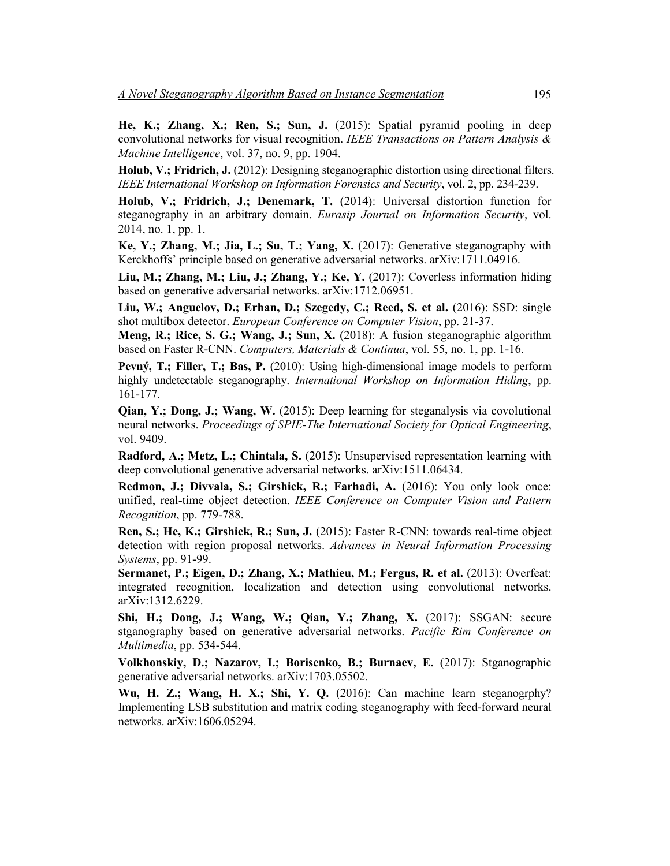**He, K.; Zhang, X.; Ren, S.; Sun, J.** (2015): Spatial pyramid pooling in deep convolutional networks for visual recognition. *IEEE Transactions on Pattern Analysis & Machine Intelligence*, vol. 37, no. 9, pp. 1904.

**Holub, V.; Fridrich, J.** (2012): Designing steganographic distortion using directional filters. *IEEE International Workshop on Information Forensics and Security*, vol. 2, pp. 234-239.

**Holub, V.; Fridrich, J.; Denemark, T.** (2014): Universal distortion function for steganography in an arbitrary domain. *Eurasip Journal on Information Security*, vol. 2014, no. 1, pp. 1.

**Ke, Y.; Zhang, M.; Jia, L.; Su, T.; Yang, X.** (2017): Generative steganography with Kerckhoffs' principle based on generative adversarial networks. arXiv:1711.04916.

**Liu, M.; Zhang, M.; Liu, J.; Zhang, Y.; Ke, Y.** (2017): Coverless information hiding based on generative adversarial networks. arXiv:1712.06951.

**Liu, W.; Anguelov, D.; Erhan, D.; Szegedy, C.; Reed, S. et al.** (2016): SSD: single shot multibox detector. *European Conference on Computer Vision*, pp. 21-37.

**Meng, R.; Rice, S. G.; Wang, J.; Sun, X.** (2018): A fusion steganographic algorithm based on Faster R-CNN. *Computers, Materials & Continua*, vol. 55, no. 1, pp. 1-16.

**Pevný, T.; Filler, T.; Bas, P.** (2010): Using high-dimensional image models to perform highly undetectable steganography. *International Workshop on Information Hiding*, pp. 161-177.

**Qian, Y.; Dong, J.; Wang, W.** (2015): Deep learning for steganalysis via covolutional neural networks. *Proceedings of SPIE-The International Society for Optical Engineering*, vol. 9409.

**Radford, A.; Metz, L.; Chintala, S.** (2015): Unsupervised representation learning with deep convolutional generative adversarial networks. arXiv:1511.06434.

**Redmon, J.; Divvala, S.; Girshick, R.; Farhadi, A.** (2016): You only look once: unified, real-time object detection. *IEEE Conference on Computer Vision and Pattern Recognition*, pp. 779-788.

**Ren, S.; He, K.; Girshick, R.; Sun, J.** (2015): Faster R-CNN: towards real-time object detection with region proposal networks. *Advances in Neural Information Processing Systems*, pp. 91-99.

**Sermanet, P.; Eigen, D.; Zhang, X.; Mathieu, M.; Fergus, R. et al.** (2013): Overfeat: integrated recognition, localization and detection using convolutional networks. arXiv:1312.6229.

**Shi, H.; Dong, J.; Wang, W.; Qian, Y.; Zhang, X.** (2017): SSGAN: secure stganography based on generative adversarial networks. *Pacific Rim Conference on Multimedia*, pp. 534-544.

**Volkhonskiy, D.; Nazarov, I.; Borisenko, B.; Burnaev, E.** (2017): Stganographic generative adversarial networks. arXiv:1703.05502.

**Wu, H. Z.; Wang, H. X.; Shi, Y. Q.** (2016): Can machine learn steganogrphy? Implementing LSB substitution and matrix coding steganography with feed-forward neural networks. arXiv:1606.05294.